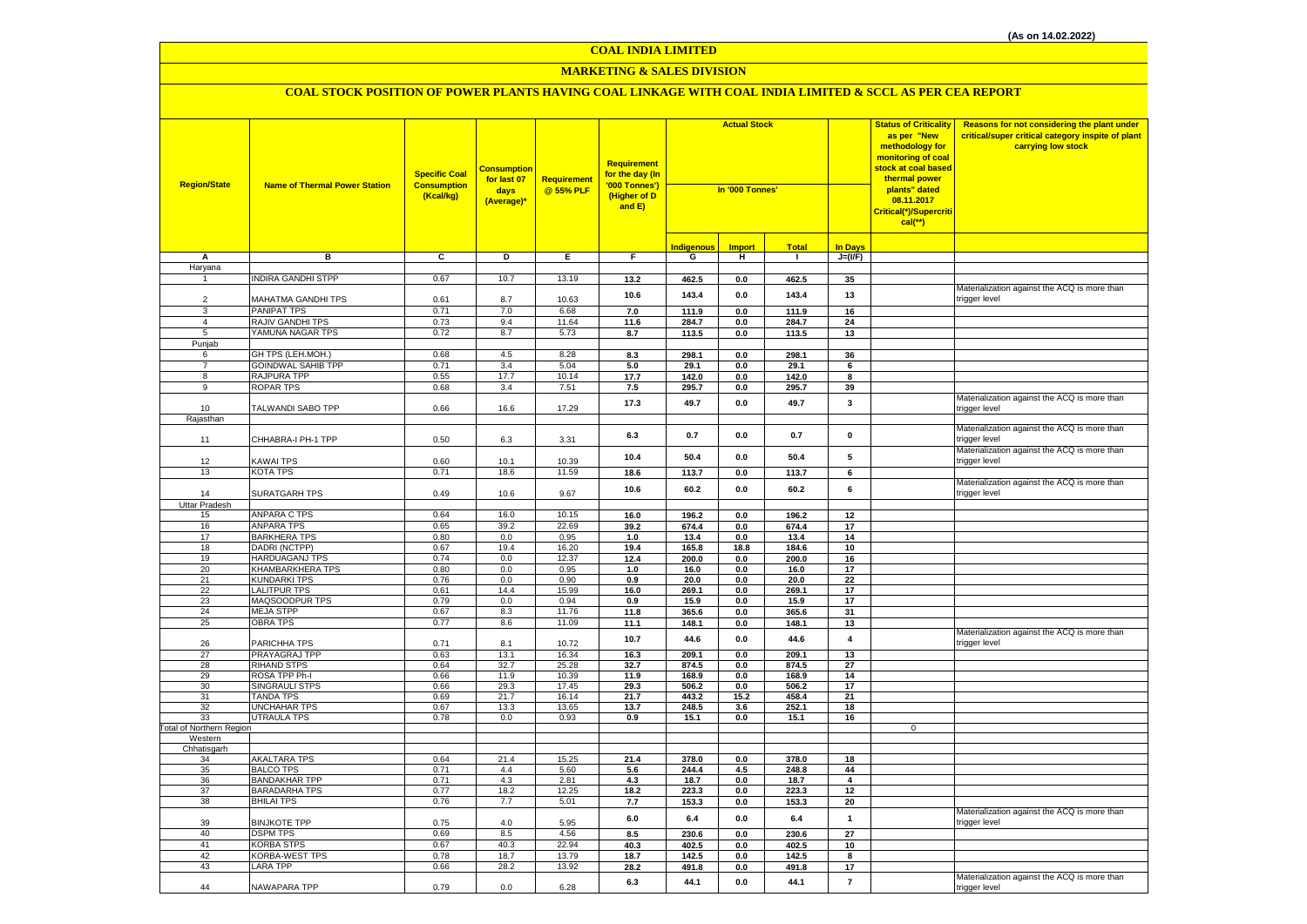### **MARKETING & SALES DIVISION**

| <b>Region/State</b>             | <b>Name of Thermal Power Station</b>     | <b>Specific Coal</b><br><b>Consumption</b><br>(Kcal/kg) | <b>Consumption</b><br>for last 07<br>days<br>(Average)* | <b>Requirement</b><br>@ 55% PLF | Requirement<br>for the day (In<br>'000 Tonnes')<br>(Higher of D<br>and E) | <b>Actual Stock</b><br>In '000 Tonnes' |                |                |                  | <b>Status of Criticality</b><br>as per "New<br>methodology for<br>monitoring of coal<br><mark>stock at coal based</mark><br>thermal power<br>plants" dated<br>08.11.2017<br>Critical(*)/Supercriti<br>$cal$ (**) | Reasons for not considering the plant under<br>critical/super critical category inspite of plant<br>carrying low stock |
|---------------------------------|------------------------------------------|---------------------------------------------------------|---------------------------------------------------------|---------------------------------|---------------------------------------------------------------------------|----------------------------------------|----------------|----------------|------------------|------------------------------------------------------------------------------------------------------------------------------------------------------------------------------------------------------------------|------------------------------------------------------------------------------------------------------------------------|
|                                 |                                          |                                                         |                                                         |                                 |                                                                           | <b>Indigenous</b>                      | <b>Import</b>  | <b>Total</b>   | <b>In Days</b>   |                                                                                                                                                                                                                  |                                                                                                                        |
| Α                               | в                                        | C                                                       | D                                                       | Е.                              | F.                                                                        | G                                      | н              | $\mathbf{I}$   | $J=(VF)$         |                                                                                                                                                                                                                  |                                                                                                                        |
| Haryana                         |                                          |                                                         |                                                         |                                 |                                                                           |                                        |                |                |                  |                                                                                                                                                                                                                  |                                                                                                                        |
| $\mathbf{1}$                    | <b>INDIRA GANDHI STPP</b>                | 0.67                                                    | 10.7                                                    | 13.19                           | 13.2                                                                      | 462.5                                  | 0.0            | 462.5          | 35               |                                                                                                                                                                                                                  |                                                                                                                        |
|                                 |                                          |                                                         |                                                         |                                 | 10.6                                                                      | 143.4                                  | 0.0            | 143.4          | 13               |                                                                                                                                                                                                                  | Materialization against the ACQ is more than                                                                           |
| $\mathcal{P}$<br>$\mathbf{B}$   | MAHATMA GANDHI TPS                       | 0.61                                                    | 8.7                                                     | 10.63                           |                                                                           |                                        |                |                |                  |                                                                                                                                                                                                                  | trigger level                                                                                                          |
| $\overline{4}$                  | <b>PANIPAT TPS</b><br>RAJIV GANDHI TPS   | 0.71<br>0.73                                            | 7.0<br>9.4                                              | 6.68<br>11.64                   | 7.0<br>11.6                                                               | 111.9<br>284.7                         | 0.0            | 111.9          | 16<br>24         |                                                                                                                                                                                                                  |                                                                                                                        |
| 5                               | YAMUNA NAGAR TPS                         | 0.72                                                    | 8.7                                                     | 5.73                            | 8.7                                                                       | 113.5                                  | 0.0<br>$0.0\,$ | 284.7<br>113.5 | 13               |                                                                                                                                                                                                                  |                                                                                                                        |
| Punjab                          |                                          |                                                         |                                                         |                                 |                                                                           |                                        |                |                |                  |                                                                                                                                                                                                                  |                                                                                                                        |
| 6                               | GH TPS (LEH.MOH.)                        | 0.68                                                    | 4.5                                                     | 8.28                            | 8.3                                                                       | 298.1                                  | $0.0\,$        | 298.1          | 36               |                                                                                                                                                                                                                  |                                                                                                                        |
| $\overline{7}$                  | <b>GOINDWAL SAHIB TPP</b>                | 0.71                                                    | 3.4                                                     | 5.04                            | 5.0                                                                       | 29.1                                   | 0.0            | 29.1           | 6                |                                                                                                                                                                                                                  |                                                                                                                        |
| 8                               | RAJPURA TPP                              | 0.55                                                    | 17.7                                                    | 10.14                           | 17.7                                                                      | 142.0                                  | 0.0            | 142.0          | 8                |                                                                                                                                                                                                                  |                                                                                                                        |
| 9                               | <b>ROPAR TPS</b>                         | 0.68                                                    | 3.4                                                     | 7.51                            | 7.5                                                                       | 295.7                                  | 0.0            | 295.7          | 39               |                                                                                                                                                                                                                  |                                                                                                                        |
| 10                              | TALWANDI SABO TPP                        | 0.66                                                    | 16.6                                                    | 17.29                           | 17.3                                                                      | 49.7                                   | 0.0            | 49.7           | $\mathbf{3}$     |                                                                                                                                                                                                                  | Materialization against the ACQ is more than<br>trigger level                                                          |
| Rajasthan                       |                                          |                                                         |                                                         |                                 |                                                                           |                                        |                |                |                  |                                                                                                                                                                                                                  |                                                                                                                        |
| 11                              | CHHABRA-I PH-1 TPP                       | 0.50                                                    | 6.3                                                     | 3.31                            | 6.3                                                                       | 0.7                                    | $0.0\,$        | 0.7            | $\pmb{0}$        |                                                                                                                                                                                                                  | Materialization against the ACQ is more than<br>rigger level                                                           |
|                                 |                                          |                                                         |                                                         |                                 | 10.4                                                                      | 50.4                                   | 0.0            | 50.4           | 5                |                                                                                                                                                                                                                  | Materialization against the ACQ is more than                                                                           |
| 12                              | <b>KAWAI TPS</b>                         | 0.60                                                    | 10.1                                                    | 10.39                           |                                                                           |                                        |                |                |                  |                                                                                                                                                                                                                  | trigger level                                                                                                          |
| 13                              | <b>KOTA TPS</b>                          | 0.71                                                    | 18.6                                                    | 11.59                           | 18.6                                                                      | 113.7                                  | 0.0            | 113.7          | 6                |                                                                                                                                                                                                                  | Materialization against the ACQ is more than                                                                           |
| 14                              | <b>SURATGARH TPS</b>                     | 0.49                                                    | 10.6                                                    | 9.67                            | 10.6                                                                      | 60.2                                   | 0.0            | 60.2           | 6                |                                                                                                                                                                                                                  | trigger level                                                                                                          |
| <b>Uttar Pradesh</b><br>15      | <b>ANPARA C TPS</b>                      | 0.64                                                    | 16.0                                                    | 10.15                           |                                                                           |                                        |                |                |                  |                                                                                                                                                                                                                  |                                                                                                                        |
| 16                              | <b>ANPARA TPS</b>                        | 0.65                                                    | 39.2                                                    | 22.69                           | 16.0<br>39.2                                                              | 196.2<br>674.4                         | $0.0\,$<br>0.0 | 196.2<br>674.4 | $12\,$<br>$17\,$ |                                                                                                                                                                                                                  |                                                                                                                        |
| 17                              | <b>BARKHERA TPS</b>                      | 0.80                                                    | 0.0                                                     | 0.95                            | 1.0                                                                       | 13.4                                   | 0.0            | 13.4           | 14               |                                                                                                                                                                                                                  |                                                                                                                        |
| 18                              | DADRI (NCTPP)                            | 0.67                                                    | 19.4                                                    | 16.20                           | 19.4                                                                      | 165.8                                  | 18.8           | 184.6          | 10               |                                                                                                                                                                                                                  |                                                                                                                        |
| 19                              | <b>HARDUAGANJ TPS</b>                    | 0.74                                                    | 0.0                                                     | 12.37                           | 12.4                                                                      | 200.0                                  | 0.0            | 200.0          | 16               |                                                                                                                                                                                                                  |                                                                                                                        |
| 20                              | <b>KHAMBARKHERA TPS</b>                  | 0.80                                                    | 0.0                                                     | 0.95                            | 1.0                                                                       | 16.0                                   | 0.0            | 16.0           | 17               |                                                                                                                                                                                                                  |                                                                                                                        |
| 21                              | <b>KUNDARKI TPS</b>                      | 0.76                                                    | 0.0                                                     | 0.90                            | 0.9                                                                       | 20.0                                   | $\mathbf{0.0}$ | 20.0           | 22               |                                                                                                                                                                                                                  |                                                                                                                        |
| 22                              | <b>LALITPUR TPS</b>                      | 0.61                                                    | 14.4                                                    | 15.99                           | 16.0                                                                      | 269.1                                  | 0.0            | 269.1          | 17               |                                                                                                                                                                                                                  |                                                                                                                        |
| 23                              | MAQSOODPUR TPS                           | 0.79                                                    | 0.0                                                     | 0.94                            | 0.9                                                                       | 15.9                                   | $0.0\,$        | 15.9           | 17               |                                                                                                                                                                                                                  |                                                                                                                        |
| 24                              | <b>MEJA STPP</b>                         | 0.67                                                    | 8.3                                                     | 11.76                           | 11.8                                                                      | 365.6                                  | 0.0            | 365.6          | 31               |                                                                                                                                                                                                                  |                                                                                                                        |
| 25                              | OBRA TPS                                 | 0.77                                                    | 8.6                                                     | 11.09                           | 11.1                                                                      | 148.1                                  | 0.0            | 148.1          | 13               |                                                                                                                                                                                                                  | Materialization against the ACQ is more than                                                                           |
| 26                              | PARICHHA TPS                             | 0.71                                                    | 8.1                                                     | 10.72                           | 10.7                                                                      | 44.6                                   | 0.0            | 44.6           | $\overline{4}$   |                                                                                                                                                                                                                  | trigger level                                                                                                          |
| 27                              | PRAYAGRAJ TPP                            | 0.63                                                    | 13.1                                                    | 16.34                           | 16.3                                                                      | 209.1                                  | 0.0            | 209.1          | 13               |                                                                                                                                                                                                                  |                                                                                                                        |
| 28                              | <b>RIHAND STPS</b>                       | 0.64                                                    | 32.7                                                    | 25.28                           | 32.7                                                                      | 874.5                                  | 0.0            | 874.5          | 27               |                                                                                                                                                                                                                  |                                                                                                                        |
| 29                              | ROSA TPP Ph-I                            | 0.66                                                    | 11.9                                                    | 10.39                           | 11.9                                                                      | 168.9                                  | 0.0            | 168.9          | 14               |                                                                                                                                                                                                                  |                                                                                                                        |
| 30                              | <b>SINGRAULI STPS</b>                    | 0.66                                                    | 29.3                                                    | 17.45                           | 29.3                                                                      | 506.2                                  | 0.0            | 506.2          | 17               |                                                                                                                                                                                                                  |                                                                                                                        |
| 31<br>32                        | <b>TANDA TPS</b><br><b>UNCHAHAR TPS</b>  | 0.69<br>0.67                                            | 21.7<br>13.3                                            | 16.14<br>13.65                  | 21.7<br>13.7                                                              | 443.2<br>248.5                         | 15.2<br>3.6    | 458.4<br>252.1 | 21<br>18         |                                                                                                                                                                                                                  |                                                                                                                        |
| 33                              | <b>UTRAULA TPS</b>                       | 0.78                                                    | 0.0                                                     | 0.93                            | 0.9                                                                       | 15.1                                   | 0.0            | 15.1           | 16               |                                                                                                                                                                                                                  |                                                                                                                        |
| <b>Total of Northern Region</b> |                                          |                                                         |                                                         |                                 |                                                                           |                                        |                |                |                  | 0                                                                                                                                                                                                                |                                                                                                                        |
| Western                         |                                          |                                                         |                                                         |                                 |                                                                           |                                        |                |                |                  |                                                                                                                                                                                                                  |                                                                                                                        |
| Chhatisgarh                     |                                          |                                                         |                                                         |                                 |                                                                           |                                        |                |                |                  |                                                                                                                                                                                                                  |                                                                                                                        |
| 34                              | <b>AKALTARA TPS</b>                      | 0.64                                                    | 21.4                                                    | 15.25                           | 21.4                                                                      | 378.0                                  | $0.0\,$        | 378.0          | 18               |                                                                                                                                                                                                                  |                                                                                                                        |
| 35<br>36                        | <b>BALCO TPS</b><br><b>BANDAKHAR TPP</b> | 0.71<br>0.71                                            | 4.4<br>4.3                                              | 5.60<br>2.81                    | 5.6                                                                       | 244.4                                  | 4.5<br>0.0     | 248.8<br>18.7  | 44<br>4          |                                                                                                                                                                                                                  |                                                                                                                        |
| 37                              | <b>BARADARHA TPS</b>                     | 0.77                                                    | 18.2                                                    | 12.25                           | 4.3<br>18.2                                                               | 18.7<br>223.3                          | 0.0            | 223.3          | 12               |                                                                                                                                                                                                                  |                                                                                                                        |
| 38                              | <b>BHILAI TPS</b>                        | 0.76                                                    | 7.7                                                     | 5.01                            | 7.7                                                                       | 153.3                                  | 0.0            | 153.3          | 20               |                                                                                                                                                                                                                  |                                                                                                                        |
| 39                              | <b>BINJKOTE TPP</b>                      | 0.75                                                    | 4.0                                                     | 5.95                            | 6.0                                                                       | 6.4                                    | 0.0            | 6.4            | $\mathbf{1}$     |                                                                                                                                                                                                                  | Materialization against the ACQ is more than<br>trigger level                                                          |
| 40                              | <b>DSPM TPS</b>                          | 0.69                                                    | 8.5                                                     | 4.56                            | 8.5                                                                       | 230.6                                  | 0.0            | 230.6          | 27               |                                                                                                                                                                                                                  |                                                                                                                        |
| 41                              | <b>KORBA STPS</b>                        | 0.67                                                    | 40.3                                                    | 22.94                           | 40.3                                                                      | 402.5                                  | $0.0\,$        | 402.5          | $10\,$           |                                                                                                                                                                                                                  |                                                                                                                        |
| 42                              | <b>KORBA-WEST TPS</b>                    | 0.78                                                    | 18.7                                                    | 13.79                           | 18.7                                                                      | 142.5                                  | 0.0            | 142.5          | 8                |                                                                                                                                                                                                                  |                                                                                                                        |
| 43                              | <b>LARA TPP</b>                          | 0.66                                                    | 28.2                                                    | 13.92                           | 28.2                                                                      | 491.8                                  | 0.0            | 491.8          | 17               |                                                                                                                                                                                                                  |                                                                                                                        |
| 44                              | NAWAPARA TPP                             | 0.79                                                    | 0.0                                                     | 6.28                            | 6.3                                                                       | 44.1                                   | 0.0            | 44.1           | $\overline{7}$   |                                                                                                                                                                                                                  | Materialization against the ACQ is more than<br>trigger level                                                          |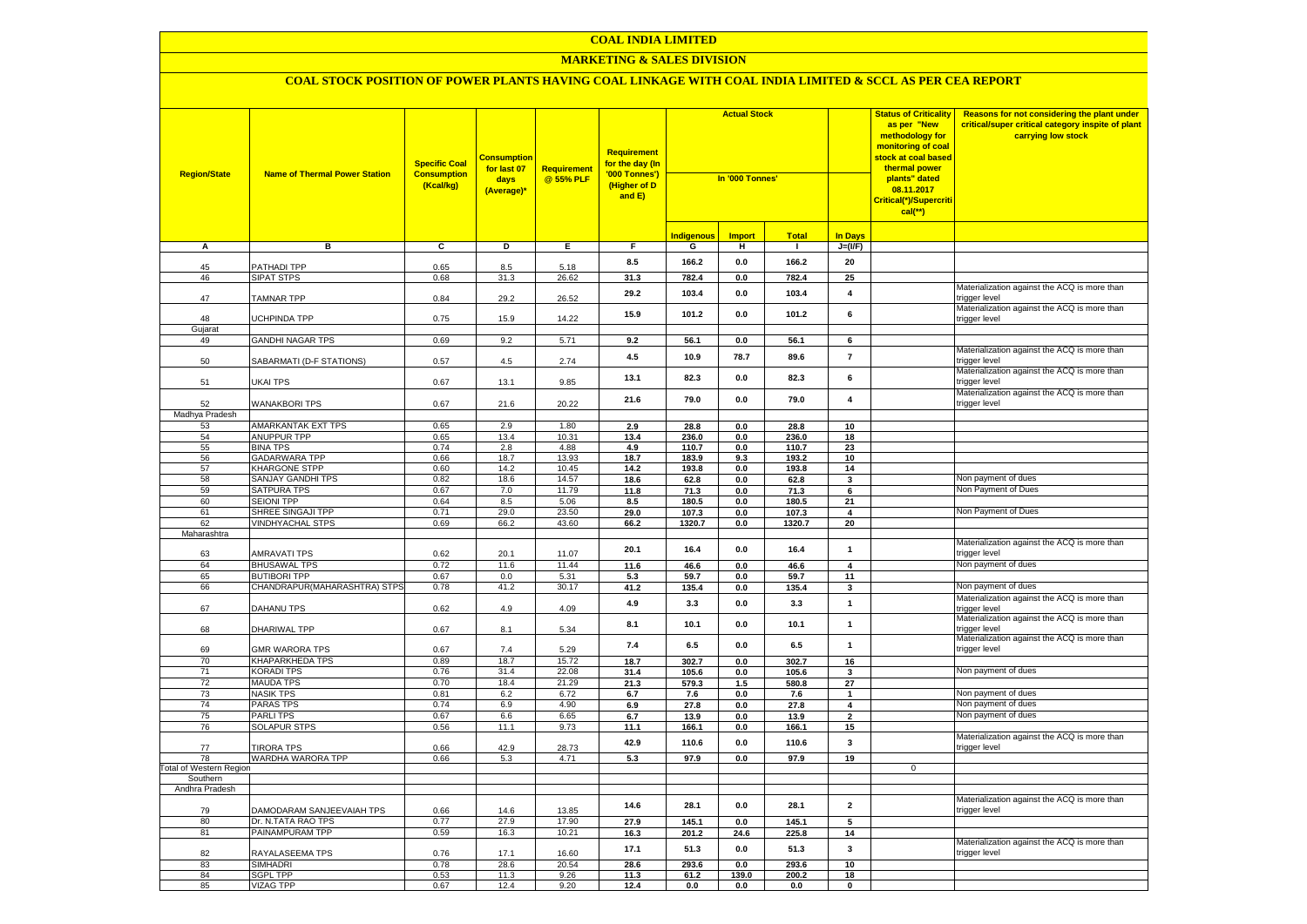### **MARKETING & SALES DIVISION**

| <b>Region/State</b>     | <b>Name of Thermal Power Station</b>   | <b>Specific Coal</b><br><b>Consumption</b><br>(Kcal/kg) | <b>Consumption</b><br>for last 07<br>days<br>(Average)* | Requirement<br>@ 55% PLF | Requirement<br>for the day (In<br>'000 Tonnes')<br>(Higher of D<br>and E) | <b>Actual Stock</b><br>In '000 Tonnes' |               |                |                                           | <b>Status of Criticality</b><br>as per "New<br>methodology for<br>monitoring of coal<br>stock at coal based<br>thermal power<br>plants" dated<br>08.11.2017<br>Critical(*)/Supercriti<br>$cal$ (**) | Reasons for not considering the plant under<br>critical/super critical category inspite of plant<br>carrying low stock |
|-------------------------|----------------------------------------|---------------------------------------------------------|---------------------------------------------------------|--------------------------|---------------------------------------------------------------------------|----------------------------------------|---------------|----------------|-------------------------------------------|-----------------------------------------------------------------------------------------------------------------------------------------------------------------------------------------------------|------------------------------------------------------------------------------------------------------------------------|
|                         |                                        |                                                         |                                                         |                          |                                                                           | <b>Indigenous</b>                      | <b>Import</b> | <b>Total</b>   | <b>In Days</b>                            |                                                                                                                                                                                                     |                                                                                                                        |
| A                       | в                                      | C                                                       | D                                                       | Е.                       | F.                                                                        | G                                      | н             | $\mathbf{I}$   | $J=(VF)$                                  |                                                                                                                                                                                                     |                                                                                                                        |
| 45                      | <b>PATHADI TPP</b>                     | 0.65                                                    | 8.5                                                     | 5.18                     | 8.5                                                                       | 166.2                                  | 0.0           | 166.2          | 20                                        |                                                                                                                                                                                                     |                                                                                                                        |
| 46                      | <b>SIPAT STPS</b>                      | 0.68                                                    | 31.3                                                    | 26.62                    | 31.3                                                                      | 782.4                                  | 0.0           | 782.4          | 25                                        |                                                                                                                                                                                                     |                                                                                                                        |
| 47                      | <b>TAMNAR TPP</b>                      | 0.84                                                    | 29.2                                                    | 26.52                    | 29.2                                                                      | 103.4                                  | 0.0           | 103.4          | $\overline{\mathbf{4}}$                   |                                                                                                                                                                                                     | Materialization against the ACQ is more than<br>rigger level                                                           |
| 48                      | JCHPINDA TPP                           | 0.75                                                    | 15.9                                                    | 14.22                    | 15.9                                                                      | 101.2                                  | 0.0           | 101.2          | 6                                         |                                                                                                                                                                                                     | Materialization against the ACQ is more than<br>trigger level                                                          |
| Gujarat                 |                                        |                                                         |                                                         |                          |                                                                           |                                        |               |                |                                           |                                                                                                                                                                                                     |                                                                                                                        |
| 49                      | <b>GANDHI NAGAR TPS</b>                | 0.69                                                    | 9.2                                                     | 5.71                     | 9.2                                                                       | 56.1                                   | 0.0           | 56.1           | $6\overline{6}$                           |                                                                                                                                                                                                     | Materialization against the ACQ is more than                                                                           |
| 50                      | SABARMATI (D-F STATIONS)               | 0.57                                                    | 4.5                                                     | 2.74                     | 4.5                                                                       | 10.9                                   | 78.7          | 89.6           | $\overline{7}$                            |                                                                                                                                                                                                     | trigger level<br>Materialization against the ACQ is more than                                                          |
| 51                      | UKAI TPS                               | 0.67                                                    | 13.1                                                    | 9.85                     | 13.1                                                                      | 82.3                                   | 0.0           | 82.3           | $\bf{6}$                                  |                                                                                                                                                                                                     | trigger level<br>Materialization against the ACQ is more than                                                          |
| 52                      | <b>WANAKBORI TPS</b>                   | 0.67                                                    | 21.6                                                    | 20.22                    | 21.6                                                                      | 79.0                                   | 0.0           | 79.0           | $\overline{\mathbf{4}}$                   |                                                                                                                                                                                                     | trigger level                                                                                                          |
| Madhya Pradesh          |                                        |                                                         |                                                         |                          |                                                                           |                                        |               |                |                                           |                                                                                                                                                                                                     |                                                                                                                        |
| 53                      | AMARKANTAK EXT TPS                     | 0.65                                                    | 2.9                                                     | 1.80                     | 2.9                                                                       | 28.8                                   | 0.0           | 28.8           | 10                                        |                                                                                                                                                                                                     |                                                                                                                        |
| 54                      | ANUPPUR TPP                            | 0.65                                                    | 13.4                                                    | 10.31                    | 13.4                                                                      | 236.0                                  | 0.0           | 236.0          | 18                                        |                                                                                                                                                                                                     |                                                                                                                        |
| 55                      | <b>BINA TPS</b>                        | 0.74                                                    | 2.8                                                     | 4.88                     | 4.9                                                                       | 110.7                                  | 0.0           | 110.7          | 23                                        |                                                                                                                                                                                                     |                                                                                                                        |
| 56                      | <b>GADARWARA TPP</b>                   | 0.66                                                    | 18.7                                                    | 13.93                    | 18.7                                                                      | 183.9                                  | 9.3           | 193.2          | 10                                        |                                                                                                                                                                                                     |                                                                                                                        |
| 57                      | <b>KHARGONE STPP</b>                   | 0.60                                                    | 14.2                                                    | 10.45                    | 14.2                                                                      | 193.8                                  | 0.0           | 193.8          | 14                                        |                                                                                                                                                                                                     |                                                                                                                        |
| 58                      | <b>SANJAY GANDHI TPS</b>               | 0.82                                                    | 18.6                                                    | 14.57                    | 18.6                                                                      | 62.8                                   | 0.0           | 62.8           | $\mathbf{3}$                              |                                                                                                                                                                                                     | Non payment of dues<br>Non Payment of Dues                                                                             |
| 59<br>60                | <b>SATPURA TPS</b>                     | 0.67<br>0.64                                            | 7.0<br>8.5                                              | 11.79<br>5.06            | 11.8                                                                      | 71.3                                   | $0.0\,$       | 71.3           | $\overline{\phantom{a}}$                  |                                                                                                                                                                                                     |                                                                                                                        |
| 61                      | <b>SEIONI TPP</b><br>SHREE SINGAJI TPP | 0.71                                                    | 29.0                                                    | 23.50                    | 8.5<br>29.0                                                               | 180.5<br>107.3                         | 0.0<br>0.0    | 180.5<br>107.3 | 21<br>4                                   |                                                                                                                                                                                                     | Non Payment of Dues                                                                                                    |
| 62                      | VINDHYACHAL STPS                       | 0.69                                                    | 66.2                                                    | 43.60                    | 66.2                                                                      | 1320.7                                 | 0.0           | 1320.7         | 20                                        |                                                                                                                                                                                                     |                                                                                                                        |
| Maharashtra             |                                        |                                                         |                                                         |                          |                                                                           |                                        |               |                |                                           |                                                                                                                                                                                                     |                                                                                                                        |
| 63                      | AMRAVATI TPS                           | 0.62                                                    | 20.1                                                    | 11.07                    | 20.1                                                                      | 16.4                                   | $0.0\,$       | 16.4           | $\mathbf{1}$                              |                                                                                                                                                                                                     | Materialization against the ACQ is more than<br>trigger level                                                          |
| 64                      | <b>BHUSAWAL TPS</b>                    | 0.72                                                    | 11.6                                                    | 11.44                    | 11.6                                                                      | 46.6                                   | 0.0           | 46.6           | $\overline{\mathbf{4}}$                   |                                                                                                                                                                                                     | Non payment of dues                                                                                                    |
| 65                      | <b>BUTIBORI TPP</b>                    | 0.67                                                    | 0.0                                                     | 5.31                     | 5.3                                                                       | 59.7                                   | 0.0           | 59.7           | 11                                        |                                                                                                                                                                                                     |                                                                                                                        |
| 66                      | CHANDRAPUR(MAHARASHTRA) STPS           | 0.78                                                    | 41.2                                                    | 30.17                    | 41.2                                                                      | 135.4                                  | 0.0           | 135.4          | $\mathbf{3}$                              |                                                                                                                                                                                                     | Non payment of dues                                                                                                    |
| 67                      | DAHANU TPS                             | 0.62                                                    | 4.9                                                     | 4.09                     | 4.9                                                                       | 3.3                                    | 0.0           | 3.3            | $\mathbf{1}$                              |                                                                                                                                                                                                     | Materialization against the ACQ is more than<br>rigger level                                                           |
| 68                      | DHARIWAL TPP                           | 0.67                                                    | 8.1                                                     | 5.34                     | 8.1                                                                       | 10.1                                   | 0.0           | 10.1           | $\mathbf{1}$                              |                                                                                                                                                                                                     | Materialization against the ACQ is more than<br>rigger level                                                           |
| 69                      | <b>GMR WARORA TPS</b>                  | 0.67                                                    | 7.4                                                     | 5.29                     | 7.4                                                                       | 6.5                                    | 0.0           | 6.5            | $\mathbf{1}$                              |                                                                                                                                                                                                     | Materialization against the ACQ is more than<br>trigger level                                                          |
| 70                      | <b>KHAPARKHEDA TPS</b>                 | 0.89                                                    | 18.7                                                    | 15.72                    | 18.7                                                                      | 302.7                                  | 0.0           | 302.7          | 16                                        |                                                                                                                                                                                                     |                                                                                                                        |
| 71                      | <b>KORADI TPS</b>                      | 0.76                                                    | 31.4                                                    | 22.08                    | 31.4                                                                      | 105.6                                  | 0.0           | 105.6          | 3                                         |                                                                                                                                                                                                     | Non payment of dues                                                                                                    |
| 72                      | <b>MAUDA TPS</b>                       | 0.70                                                    | 18.4                                                    | 21.29                    | 21.3                                                                      | 579.3                                  | 1.5           | 580.8          | 27                                        |                                                                                                                                                                                                     |                                                                                                                        |
| 73                      | <b>NASIK TPS</b>                       | 0.81                                                    | 6.2                                                     | 6.72                     | 6.7                                                                       | 7.6                                    | 0.0           | 7.6            | $\mathbf{1}$                              |                                                                                                                                                                                                     | Non payment of dues<br>Non payment of dues                                                                             |
| 74<br>75                | <b>PARAS TPS</b><br><b>PARLITPS</b>    | 0.74<br>0.67                                            | 6.9<br>6.6                                              | 4.90<br>6.65             | 6.9<br>6.7                                                                | 27.8<br>13.9                           | 0.0<br>0.0    | 27.8<br>13.9   | $\overline{\mathbf{4}}$<br>$\overline{2}$ |                                                                                                                                                                                                     | Non payment of dues                                                                                                    |
| 76                      | <b>SOLAPUR STPS</b>                    | 0.56                                                    | 11.1                                                    | 9.73                     | 11.1                                                                      | 166.1                                  | 0.0           | 166.1          | 15                                        |                                                                                                                                                                                                     |                                                                                                                        |
|                         |                                        |                                                         |                                                         |                          |                                                                           |                                        |               |                |                                           |                                                                                                                                                                                                     | Materialization against the ACQ is more than                                                                           |
| 77<br>78                | <b>TIRORA TPS</b><br>WARDHA WARORA TPP | 0.66<br>0.66                                            | 42.9<br>5.3                                             | 28.73<br>4.71            | 42.9<br>5.3                                                               | 110.6<br>97.9                          | 0.0<br>0.0    | 110.6<br>97.9  | $\overline{\mathbf{3}}$<br>19             |                                                                                                                                                                                                     | trigger level                                                                                                          |
| Total of Western Region |                                        |                                                         |                                                         |                          |                                                                           |                                        |               |                |                                           | $\overline{0}$                                                                                                                                                                                      |                                                                                                                        |
| Southern                |                                        |                                                         |                                                         |                          |                                                                           |                                        |               |                |                                           |                                                                                                                                                                                                     |                                                                                                                        |
| Andhra Pradesh          |                                        |                                                         |                                                         |                          |                                                                           |                                        |               |                |                                           |                                                                                                                                                                                                     |                                                                                                                        |
| 79                      | DAMODARAM SANJEEVAIAH TPS              | 0.66                                                    | 14.6                                                    | 13.85                    | 14.6                                                                      | 28.1                                   | 0.0           | 28.1           | $\overline{2}$                            |                                                                                                                                                                                                     | Materialization against the ACQ is more than<br>trigger level                                                          |
| 80                      | Dr. N.TATA RAO TPS                     | 0.77                                                    | 27.9                                                    | 17.90                    | 27.9                                                                      | 145.1                                  | 0.0           | 145.1          | $\overline{5}$                            |                                                                                                                                                                                                     |                                                                                                                        |
| 81                      | PAINAMPURAM TPP                        | 0.59                                                    | 16.3                                                    | 10.21                    | 16.3                                                                      | 201.2                                  | 24.6          | 225.8          | ${\bf 14}$                                |                                                                                                                                                                                                     |                                                                                                                        |
| 82                      | RAYALASEEMA TPS                        | 0.76                                                    | 17.1                                                    | 16.60                    | 17.1                                                                      | 51.3                                   | $0.0\,$       | 51.3           | $\mathbf{3}$                              |                                                                                                                                                                                                     | Materialization against the ACQ is more than<br>trigger level                                                          |
| 83                      | <b>SIMHADRI</b>                        | 0.78                                                    | 28.6                                                    | 20.54                    | 28.6                                                                      | 293.6                                  | 0.0           | 293.6          | 10                                        |                                                                                                                                                                                                     |                                                                                                                        |
| 84                      | <b>SGPL TPP</b>                        | 0.53<br>0.67                                            | 11.3<br>12.4                                            | 9.26                     | 11.3                                                                      | 61.2                                   | 139.0         | 200.2          | 18<br>$\mathbf 0$                         |                                                                                                                                                                                                     |                                                                                                                        |
| 85                      | <b>VIZAG TPP</b>                       |                                                         |                                                         | 9.20                     | 12.4                                                                      | 0.0                                    | 0.0           | $0.0\,$        |                                           |                                                                                                                                                                                                     |                                                                                                                        |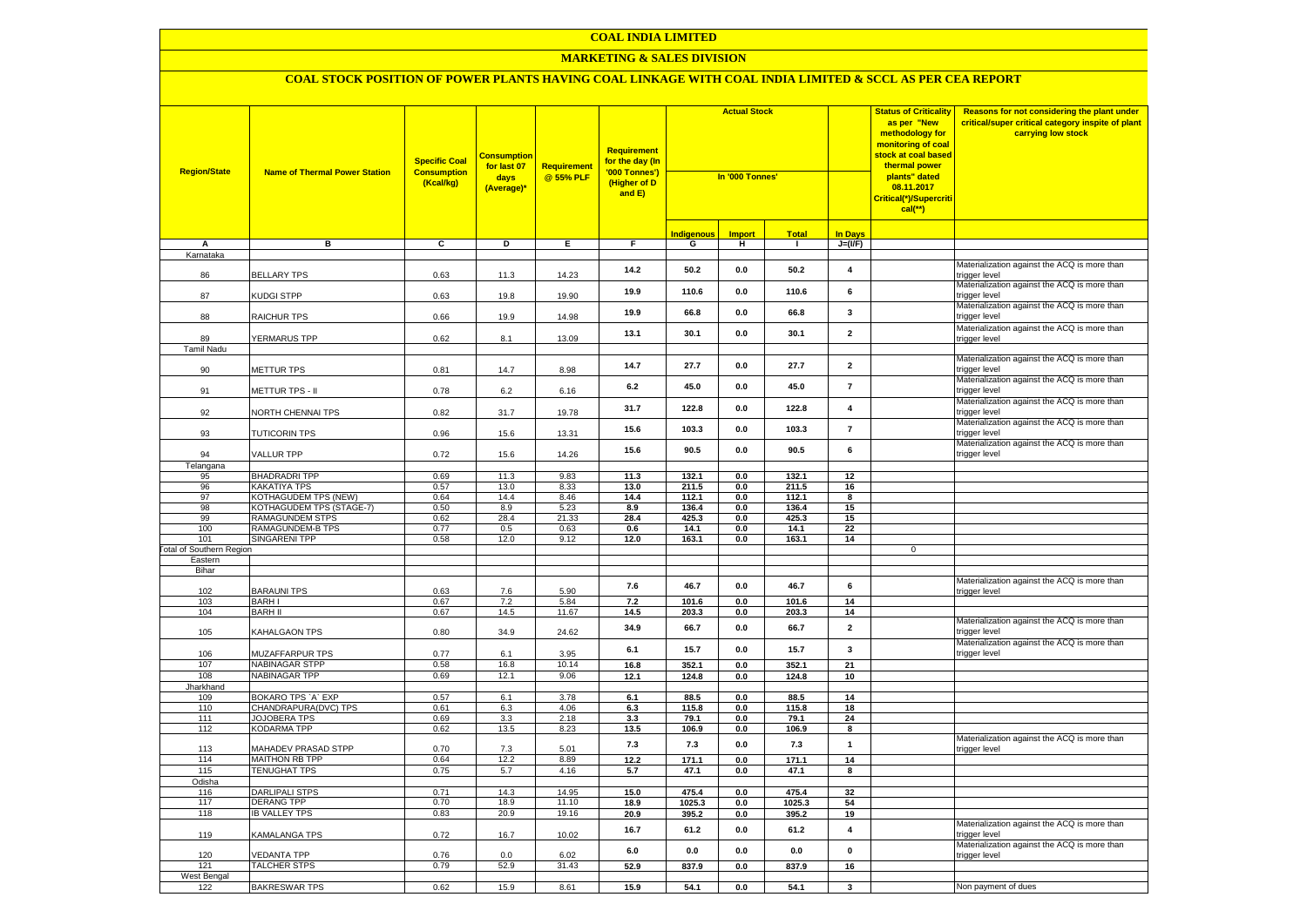# **MARKETING & SALES DIVISION**

| <b>Region/State</b>             | <b>Name of Thermal Power Station</b>         | <b>Specific Coal</b><br><b>Consumption</b><br>(Kcal/kg) | <mark>Consumption</mark><br>for last 07<br>days<br>(Average)* | <b>Requirement</b><br>@ 55% PLF | Requirement<br>for the day (In<br>'000 Tonnes')<br>(Higher of D<br>and E) | <b>Actual Stock</b><br>In '000 Tonnes' |               |                |                         | <b>Status of Criticality</b><br>as per "New<br>methodology for<br><mark>monitoring of coal</mark><br><mark>stock at coal based</mark><br>thermal power<br>plants" dated<br>08.11.2017<br>Critical(*)/Supercriti<br>$cal$ (**) | Reasons for not considering the plant under<br>critical/super critical category inspite of plant<br>carrying low stock |
|---------------------------------|----------------------------------------------|---------------------------------------------------------|---------------------------------------------------------------|---------------------------------|---------------------------------------------------------------------------|----------------------------------------|---------------|----------------|-------------------------|-------------------------------------------------------------------------------------------------------------------------------------------------------------------------------------------------------------------------------|------------------------------------------------------------------------------------------------------------------------|
|                                 |                                              |                                                         |                                                               |                                 |                                                                           | <u>Indigenous</u>                      | <b>Import</b> | Total          | <b>In Days</b>          |                                                                                                                                                                                                                               |                                                                                                                        |
| А                               | в                                            | c                                                       | Þ                                                             | E                               | F                                                                         | G                                      | н.            | $\mathbf{I}$   | $J=(VF)$                |                                                                                                                                                                                                                               |                                                                                                                        |
| Karnataka                       |                                              |                                                         |                                                               |                                 |                                                                           |                                        |               |                |                         |                                                                                                                                                                                                                               |                                                                                                                        |
| 86                              | <b>BELLARY TPS</b>                           | 0.63                                                    | 11.3                                                          | 14.23                           | 14.2                                                                      | 50.2                                   | 0.0           | 50.2           | $\overline{\mathbf{4}}$ |                                                                                                                                                                                                                               | Materialization against the ACQ is more than<br>rigger level                                                           |
| 87                              | KUDGI STPP                                   | 0.63                                                    | 19.8                                                          | 19.90                           | 19.9                                                                      | 110.6                                  | 0.0           | 110.6          | 6                       |                                                                                                                                                                                                                               | Materialization against the ACQ is more than<br>rigger level:                                                          |
| 88                              | RAICHUR TPS                                  | 0.66                                                    | 19.9                                                          | 14.98                           | 19.9                                                                      | 66.8                                   | 0.0           | 66.8           | $\mathbf{3}$            |                                                                                                                                                                                                                               | Materialization against the ACQ is more than<br>rigger level                                                           |
| 89                              | <b>YERMARUS TPP</b>                          | 0.62                                                    | 8.1                                                           | 13.09                           | 13.1                                                                      | 30.1                                   | 0.0           | 30.1           | $\overline{2}$          |                                                                                                                                                                                                                               | Materialization against the ACQ is more than<br>trigger level                                                          |
| Tamil Nadu                      |                                              |                                                         |                                                               |                                 |                                                                           |                                        |               |                |                         |                                                                                                                                                                                                                               |                                                                                                                        |
| 90                              | <b>METTUR TPS</b>                            | 0.81                                                    | 14.7                                                          | 8.98                            | 14.7                                                                      | 27.7                                   | 0.0           | 27.7           | $\overline{2}$          |                                                                                                                                                                                                                               | Materialization against the ACQ is more than<br>rigger level                                                           |
| 91                              | METTUR TPS - II                              | 0.78                                                    | 6.2                                                           | 6.16                            | 6.2                                                                       | 45.0                                   | 0.0           | 45.0           | $\overline{7}$          |                                                                                                                                                                                                                               | Materialization against the ACQ is more than<br>rigger level:                                                          |
| 92                              | <b>VORTH CHENNAI TPS</b>                     | 0.82                                                    | 31.7                                                          | 19.78                           | 31.7                                                                      | 122.8                                  | 0.0           | 122.8          | $\overline{\mathbf{4}}$ |                                                                                                                                                                                                                               | Materialization against the ACQ is more than<br>rigger level                                                           |
| 93                              | <b>TUTICORIN TPS</b>                         | 0.96                                                    | 15.6                                                          | 13.31                           | 15.6                                                                      | 103.3                                  | 0.0           | 103.3          | $\overline{7}$          |                                                                                                                                                                                                                               | Materialization against the ACQ is more than<br>rigger level                                                           |
| 94                              | VALLUR TPP                                   | 0.72                                                    | 15.6                                                          | 14.26                           | 15.6                                                                      | 90.5                                   | 0.0           | 90.5           | 6                       |                                                                                                                                                                                                                               | Materialization against the ACQ is more than<br>trigger level                                                          |
| Telangana                       |                                              |                                                         |                                                               |                                 |                                                                           |                                        |               |                |                         |                                                                                                                                                                                                                               |                                                                                                                        |
| 95                              | <b>BHADRADRI TPP</b>                         | 0.69                                                    | 11.3                                                          | 9.83                            | 11.3                                                                      | 132.1                                  | 0.0           | 132.1          | 12                      |                                                                                                                                                                                                                               |                                                                                                                        |
| 96                              | KAKATIYA TPS                                 | 0.57                                                    | 13.0                                                          | 8.33                            | 13.0                                                                      | 211.5                                  | 0.0           | 211.5          | 16                      |                                                                                                                                                                                                                               |                                                                                                                        |
| 97                              | KOTHAGUDEM TPS (NEW)                         | 0.64                                                    | 14.4                                                          | 8.46                            | 14.4                                                                      | 112.1                                  | 0.0           | 112.1          | 8                       |                                                                                                                                                                                                                               |                                                                                                                        |
| 98<br>99                        | KOTHAGUDEM TPS (STAGE-7)<br>RAMAGUNDEM STPS  | 0.50<br>0.62                                            | 8.9<br>28.4                                                   | 5.23<br>21.33                   | 8.9<br>28.4                                                               | 136.4<br>425.3                         | 0.0<br>0.0    | 136.4<br>425.3 | 15<br>15                |                                                                                                                                                                                                                               |                                                                                                                        |
| 100                             | RAMAGUNDEM-B TPS                             | 0.77                                                    | 0.5                                                           | 0.63                            | 0.6                                                                       | 14.1                                   | 0.0           | 14.1           | 22                      |                                                                                                                                                                                                                               |                                                                                                                        |
| 101                             | <b>SINGARENI TPP</b>                         | 0.58                                                    | 12.0                                                          | 9.12                            | 12.0                                                                      | 163.1                                  | 0.0           | 163.1          | 14                      |                                                                                                                                                                                                                               |                                                                                                                        |
| <b>Total of Southern Region</b> |                                              |                                                         |                                                               |                                 |                                                                           |                                        |               |                |                         | 0                                                                                                                                                                                                                             |                                                                                                                        |
| Eastern                         |                                              |                                                         |                                                               |                                 |                                                                           |                                        |               |                |                         |                                                                                                                                                                                                                               |                                                                                                                        |
| Bihar                           |                                              |                                                         |                                                               |                                 |                                                                           |                                        |               |                |                         |                                                                                                                                                                                                                               |                                                                                                                        |
|                                 |                                              |                                                         |                                                               |                                 | 7.6                                                                       | 46.7                                   | 0.0           | 46.7           | 6                       |                                                                                                                                                                                                                               | Materialization against the ACQ is more than                                                                           |
| 102<br>103                      | <b>BARAUNI TPS</b><br><b>BARHI</b>           | 0.63<br>0.67                                            | 7.6<br>7.2                                                    | 5.90<br>5.84                    | 7.2                                                                       | 101.6                                  | 0.0           | 101.6          | 14                      |                                                                                                                                                                                                                               | rigger level                                                                                                           |
| 104                             | <b>BARH II</b>                               | 0.67                                                    | 14.5                                                          | 11.67                           | 14.5                                                                      | 203.3                                  | 0.0           | 203.3          | 14                      |                                                                                                                                                                                                                               |                                                                                                                        |
| 105                             | KAHALGAON TPS                                | 0.80                                                    | 34.9                                                          | 24.62                           | 34.9                                                                      | 66.7                                   | 0.0           | 66.7           | $\overline{2}$          |                                                                                                                                                                                                                               | Materialization against the ACQ is more than<br>rigger level                                                           |
| 106                             | MUZAFFARPUR TPS                              | 0.77                                                    | 6.1                                                           | 3.95                            | 6.1                                                                       | 15.7                                   | 0.0           | 15.7           | $\mathbf{3}$            |                                                                                                                                                                                                                               | Materialization against the ACQ is more than<br>trigger level                                                          |
| 107                             | NABINAGAR STPP                               | 0.58                                                    | 16.8                                                          | 10.14                           | 16.8                                                                      | 352.1                                  | 0.0           | 352.1          | 21                      |                                                                                                                                                                                                                               |                                                                                                                        |
| 108                             | NABINAGAR TPP                                | 0.69                                                    | 12.1                                                          | 9.06                            | 12.1                                                                      | 124.8                                  | 0.0           | 124.8          | 10                      |                                                                                                                                                                                                                               |                                                                                                                        |
| Jharkhand                       |                                              |                                                         |                                                               |                                 |                                                                           |                                        |               |                |                         |                                                                                                                                                                                                                               |                                                                                                                        |
| 109                             | BOKARO TPS 'A' EXP                           | 0.57                                                    | 6.1                                                           | 3.78                            | 6.1                                                                       | 88.5                                   | 0.0           | 88.5           | 14                      |                                                                                                                                                                                                                               |                                                                                                                        |
| 110<br>111                      | CHANDRAPURA(DVC) TPS<br><b>JOJOBERA TPS</b>  | 0.61<br>0.69                                            | 6.3<br>3.3                                                    | 4.06<br>2.18                    | 6.3<br>3.3                                                                | 115.8<br>79.1                          | 0.0<br>0.0    | 115.8<br>79.1  | 18<br>24                |                                                                                                                                                                                                                               |                                                                                                                        |
| 112                             | <b>KODARMA TPP</b>                           | 0.62                                                    | 13.5                                                          | 8.23                            | 13.5                                                                      | 106.9                                  | 0.0           | 106.9          | 8                       |                                                                                                                                                                                                                               |                                                                                                                        |
|                                 |                                              |                                                         |                                                               |                                 |                                                                           |                                        |               |                |                         |                                                                                                                                                                                                                               | Materialization against the ACQ is more than                                                                           |
| 113<br>114                      | MAHADEV PRASAD STPP<br><b>MAITHON RB TPP</b> | 0.70<br>0.64                                            | 7.3<br>12.2                                                   | 5.01<br>8.89                    | 7.3<br>12.2                                                               | $\bf 7.3$<br>171.1                     | 0.0<br>0.0    | 7.3<br>171.1   | $\mathbf{1}$<br>14      |                                                                                                                                                                                                                               | rigger level                                                                                                           |
| 115                             | <b>TENUGHAT TPS</b>                          | 0.75                                                    | 5.7                                                           | 4.16                            | 5.7                                                                       | 47.1                                   | 0.0           | 47.1           | 8                       |                                                                                                                                                                                                                               |                                                                                                                        |
| Odisha                          |                                              |                                                         |                                                               |                                 |                                                                           |                                        |               |                |                         |                                                                                                                                                                                                                               |                                                                                                                        |
| 116                             | <b>DARLIPALI STPS</b>                        | 0.71                                                    | 14.3                                                          | 14.95                           | 15.0                                                                      | 475.4                                  | 0.0           | 475.4          | 32                      |                                                                                                                                                                                                                               |                                                                                                                        |
| 117                             | <b>DERANG TPP</b>                            | 0.70                                                    | 18.9                                                          | 11.10                           | 18.9                                                                      | 1025.3                                 | 0.0           | 1025.3         | 54                      |                                                                                                                                                                                                                               |                                                                                                                        |
| 118                             | <b>IB VALLEY TPS</b>                         | 0.83                                                    | 20.9                                                          | 19.16                           | 20.9                                                                      | 395.2                                  | 0.0           | 395.2          | 19                      |                                                                                                                                                                                                                               |                                                                                                                        |
| 119                             | KAMALANGA TPS                                | 0.72                                                    | 16.7                                                          | 10.02                           | 16.7                                                                      | 61.2                                   | 0.0           | 61.2           | $\overline{\mathbf{4}}$ |                                                                                                                                                                                                                               | Materialization against the ACQ is more than<br>rigger level                                                           |
| 120                             | <b>/EDANTA TPP</b>                           | 0.76                                                    | 0.0                                                           | 6.02                            | 6.0                                                                       | 0.0                                    | 0.0           | 0.0            | $\pmb{0}$               |                                                                                                                                                                                                                               | Materialization against the ACQ is more than<br>trigger level                                                          |
| 121                             | <b>TALCHER STPS</b>                          | 0.79                                                    | 52.9                                                          | 31.43                           | 52.9                                                                      | 837.9                                  | 0.0           | 837.9          | 16                      |                                                                                                                                                                                                                               |                                                                                                                        |
| West Bengal                     |                                              | 0.62                                                    | 15.9                                                          | 8.61                            |                                                                           | 54.1                                   |               |                | $\overline{\mathbf{3}}$ |                                                                                                                                                                                                                               |                                                                                                                        |
| 122                             | <b>BAKRESWAR TPS</b>                         |                                                         |                                                               |                                 | 15.9                                                                      |                                        | 0.0           | 54.1           |                         |                                                                                                                                                                                                                               | Non payment of dues                                                                                                    |